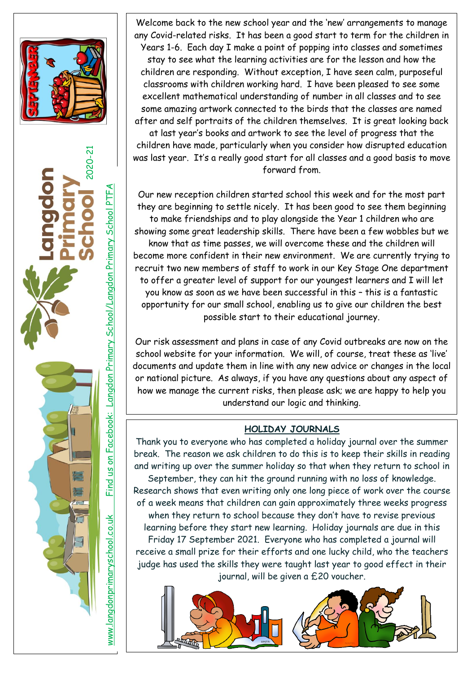



Welcome back to the new school year and the 'new' arrangements to manage any Covid-related risks. It has been a good start to term for the children in Years 1-6. Each day I make a point of popping into classes and sometimes stay to see what the learning activities are for the lesson and how the children are responding. Without exception, I have seen calm, purposeful classrooms with children working hard. I have been pleased to see some excellent mathematical understanding of number in all classes and to see some amazing artwork connected to the birds that the classes are named after and self portraits of the children themselves. It is great looking back

at last year's books and artwork to see the level of progress that the children have made, particularly when you consider how disrupted education was last year. It's a really good start for all classes and a good basis to move forward from.

Our new reception children started school this week and for the most part they are beginning to settle nicely. It has been good to see them beginning to make friendships and to play alongside the Year 1 children who are showing some great leadership skills. There have been a few wobbles but we know that as time passes, we will overcome these and the children will become more confident in their new environment. We are currently trying to recruit two new members of staff to work in our Key Stage One department to offer a greater level of support for our youngest learners and I will let you know as soon as we have been successful in this – this is a fantastic opportunity for our small school, enabling us to give our children the best possible start to their educational journey.

Our risk assessment and plans in case of any Covid outbreaks are now on the school website for your information. We will, of course, treat these as 'live' documents and update them in line with any new advice or changes in the local or national picture. As always, if you have any questions about any aspect of how we manage the current risks, then please ask; we are happy to help you understand our logic and thinking.

#### **HOLIDAY JOURNALS**

Thank you to everyone who has completed a holiday journal over the summer break. The reason we ask children to do this is to keep their skills in reading and writing up over the summer holiday so that when they return to school in September, they can hit the ground running with no loss of knowledge. Research shows that even writing only one long piece of work over the course of a week means that children can gain approximately three weeks progress when they return to school because they don't have to revise previous learning before they start new learning. Holiday journals are due in this Friday 17 September 2021. Everyone who has completed a journal will receive a small prize for their efforts and one lucky child, who the teachers judge has used the skills they were taught last year to good effect in their journal, will be given a £20 voucher.

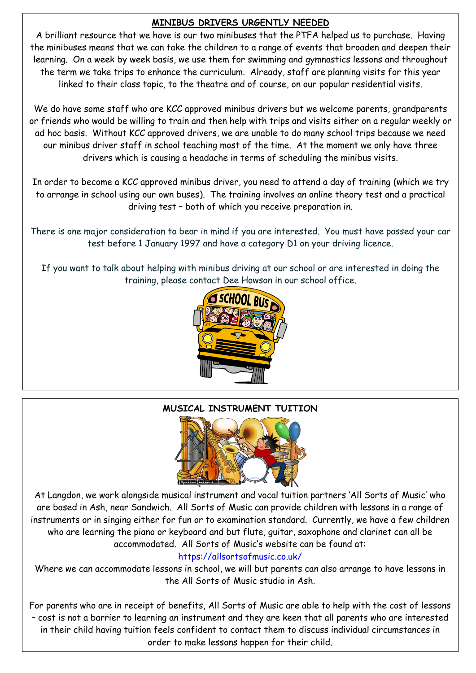## **MINIBUS DRIVERS URGENTLY NEEDED**

A brilliant resource that we have is our two minibuses that the PTFA helped us to purchase. Having the minibuses means that we can take the children to a range of events that broaden and deepen their learning. On a week by week basis, we use them for swimming and gymnastics lessons and throughout the term we take trips to enhance the curriculum. Already, staff are planning visits for this year linked to their class topic, to the theatre and of course, on our popular residential visits.

We do have some staff who are KCC approved minibus drivers but we welcome parents, grandparents or friends who would be willing to train and then help with trips and visits either on a regular weekly or ad hoc basis. Without KCC approved drivers, we are unable to do many school trips because we need our minibus driver staff in school teaching most of the time. At the moment we only have three drivers which is causing a headache in terms of scheduling the minibus visits.

In order to become a KCC approved minibus driver, you need to attend a day of training (which we try to arrange in school using our own buses). The training involves an online theory test and a practical driving test – both of which you receive preparation in.

There is one major consideration to bear in mind if you are interested. You must have passed your car test before 1 January 1997 and have a category D1 on your driving licence.

If you want to talk about helping with minibus driving at our school or are interested in doing the training, please contact Dee Howson in our school office.



# **MUSICAL INSTRUMENT TUITION**



At Langdon, we work alongside musical instrument and vocal tuition partners 'All Sorts of Music' who are based in Ash, near Sandwich. All Sorts of Music can provide children with lessons in a range of instruments or in singing either for fun or to examination standard. Currently, we have a few children who are learning the piano or keyboard and but flute, guitar, saxophone and clarinet can all be accommodated. All Sorts of Music's website can be found at:

# <https://allsortsofmusic.co.uk/>

Where we can accommodate lessons in school, we will but parents can also arrange to have lessons in the All Sorts of Music studio in Ash.

For parents who are in receipt of benefits, All Sorts of Music are able to help with the cost of lessons – cost is not a barrier to learning an instrument and they are keen that all parents who are interested in their child having tuition feels confident to contact them to discuss individual circumstances in order to make lessons happen for their child.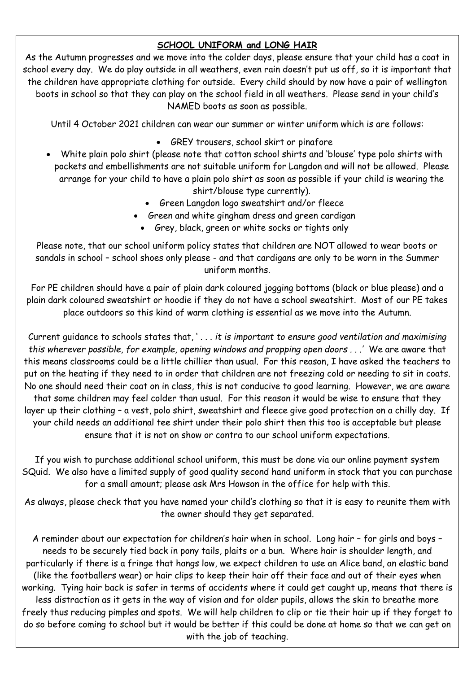## **SCHOOL UNIFORM and LONG HAIR**

As the Autumn progresses and we move into the colder days, please ensure that your child has a coat in school every day. We do play outside in all weathers, even rain doesn't put us off, so it is important that the children have appropriate clothing for outside. Every child should by now have a pair of wellington boots in school so that they can play on the school field in all weathers. Please send in your child's NAMED boots as soon as possible.

Until 4 October 2021 children can wear our summer or winter uniform which is are follows:

- GREY trousers, school skirt or pinafore
- White plain polo shirt (please note that cotton school shirts and 'blouse' type polo shirts with pockets and embellishments are not suitable uniform for Langdon and will not be allowed. Please arrange for your child to have a plain polo shirt as soon as possible if your child is wearing the shirt/blouse type currently).
	- Green Langdon logo sweatshirt and/or fleece
	- Green and white gingham dress and green cardigan
		- Grey, black, green or white socks or tights only

Please note, that our school uniform policy states that children are NOT allowed to wear boots or sandals in school – school shoes only please - and that cardigans are only to be worn in the Summer uniform months.

For PE children should have a pair of plain dark coloured jogging bottoms (black or blue please) and a plain dark coloured sweatshirt or hoodie if they do not have a school sweatshirt. Most of our PE takes place outdoors so this kind of warm clothing is essential as we move into the Autumn.

Current guidance to schools states that, ' . . . *it is important to ensure good ventilation and maximising this wherever possible, for example, opening windows and propping open doors . . .'* We are aware that this means classrooms could be a little chillier than usual. For this reason, I have asked the teachers to put on the heating if they need to in order that children are not freezing cold or needing to sit in coats. No one should need their coat on in class, this is not conducive to good learning. However, we are aware that some children may feel colder than usual. For this reason it would be wise to ensure that they layer up their clothing – a vest, polo shirt, sweatshirt and fleece give good protection on a chilly day. If your child needs an additional tee shirt under their polo shirt then this too is acceptable but please ensure that it is not on show or contra to our school uniform expectations.

If you wish to purchase additional school uniform, this must be done via our online payment system SQuid. We also have a limited supply of good quality second hand uniform in stock that you can purchase for a small amount; please ask Mrs Howson in the office for help with this.

As always, please check that you have named your child's clothing so that it is easy to reunite them with the owner should they get separated.

A reminder about our expectation for children's hair when in school. Long hair – for girls and boys – needs to be securely tied back in pony tails, plaits or a bun. Where hair is shoulder length, and particularly if there is a fringe that hangs low, we expect children to use an Alice band, an elastic band (like the footballers wear) or hair clips to keep their hair off their face and out of their eyes when working. Tying hair back is safer in terms of accidents where it could get caught up, means that there is less distraction as it gets in the way of vision and for older pupils, allows the skin to breathe more freely thus reducing pimples and spots. We will help children to clip or tie their hair up if they forget to do so before coming to school but it would be better if this could be done at home so that we can get on with the job of teaching.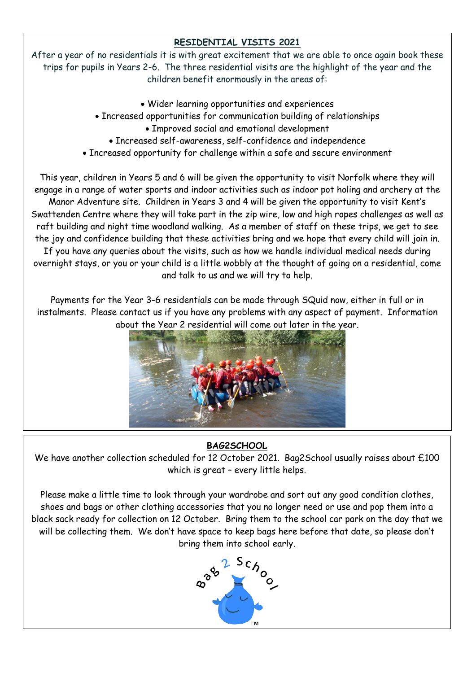# **RESIDENTIAL VISITS 2021**

After a year of no residentials it is with great excitement that we are able to once again book these trips for pupils in Years 2-6. The three residential visits are the highlight of the year and the children benefit enormously in the areas of:

- Wider learning opportunities and experiences
- Increased opportunities for communication building of relationships
	- Improved social and emotional development
	- Increased self-awareness, self-confidence and independence
- Increased opportunity for challenge within a safe and secure environment

This year, children in Years 5 and 6 will be given the opportunity to visit Norfolk where they will engage in a range of water sports and indoor activities such as indoor pot holing and archery at the Manor Adventure site. Children in Years 3 and 4 will be given the opportunity to visit Kent's Swattenden Centre where they will take part in the zip wire, low and high ropes challenges as well as raft building and night time woodland walking. As a member of staff on these trips, we get to see the joy and confidence building that these activities bring and we hope that every child will join in. If you have any queries about the visits, such as how we handle individual medical needs during overnight stays, or you or your child is a little wobbly at the thought of going on a residential, come and talk to us and we will try to help.

Payments for the Year 3-6 residentials can be made through SQuid now, either in full or in instalments. Please contact us if you have any problems with any aspect of payment. Information about the Year 2 residential will come out later in the year.



# **BAG2SCHOOL**

We have another collection scheduled for 12 October 2021. Bag2School usually raises about £100 which is great – every little helps.

Please make a little time to look through your wardrobe and sort out any good condition clothes, shoes and bags or other clothing accessories that you no longer need or use and pop them into a black sack ready for collection on 12 October. Bring them to the school car park on the day that we will be collecting them. We don't have space to keep bags here before that date, so please don't bring them into school early.

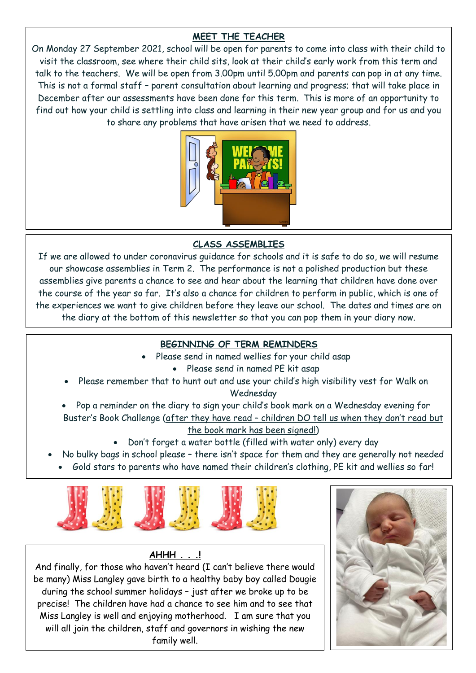## **MEET THE TEACHER**

On Monday 27 September 2021, school will be open for parents to come into class with their child to visit the classroom, see where their child sits, look at their child's early work from this term and talk to the teachers. We will be open from 3.00pm until 5.00pm and parents can pop in at any time. This is not a formal staff – parent consultation about learning and progress; that will take place in December after our assessments have been done for this term. This is more of an opportunity to find out how your child is settling into class and learning in their new year group and for us and you to share any problems that have arisen that we need to address.



#### **CLASS ASSEMBLIES**

If we are allowed to under coronavirus guidance for schools and it is safe to do so, we will resume our showcase assemblies in Term 2. The performance is not a polished production but these assemblies give parents a chance to see and hear about the learning that children have done over the course of the year so far. It's also a chance for children to perform in public, which is one of the experiences we want to give children before they leave our school. The dates and times are on the diary at the bottom of this newsletter so that you can pop them in your diary now.

#### **BEGINNING OF TERM REMINDERS**

- Please send in named wellies for your child asap
	- Please send in named PE kit asap
- Please remember that to hunt out and use your child's high visibility vest for Walk on Wednesday
- Pop a reminder on the diary to sign your child's book mark on a Wednesday evening for Buster's Book Challenge (after they have read – children DO tell us when they don't read but

#### the book mark has been signed!)

- Don't forget a water bottle (filled with water only) every day
- No bulky bags in school please there isn't space for them and they are generally not needed
	- Gold stars to parents who have named their children's clothing, PE kit and wellies so far!



#### **AHHH . . .!**

And finally, for those who haven't heard (I can't believe there would be many) Miss Langley gave birth to a healthy baby boy called Dougie during the school summer holidays – just after we broke up to be precise! The children have had a chance to see him and to see that Miss Langley is well and enjoying motherhood. I am sure that you will all join the children, staff and governors in wishing the new family well.